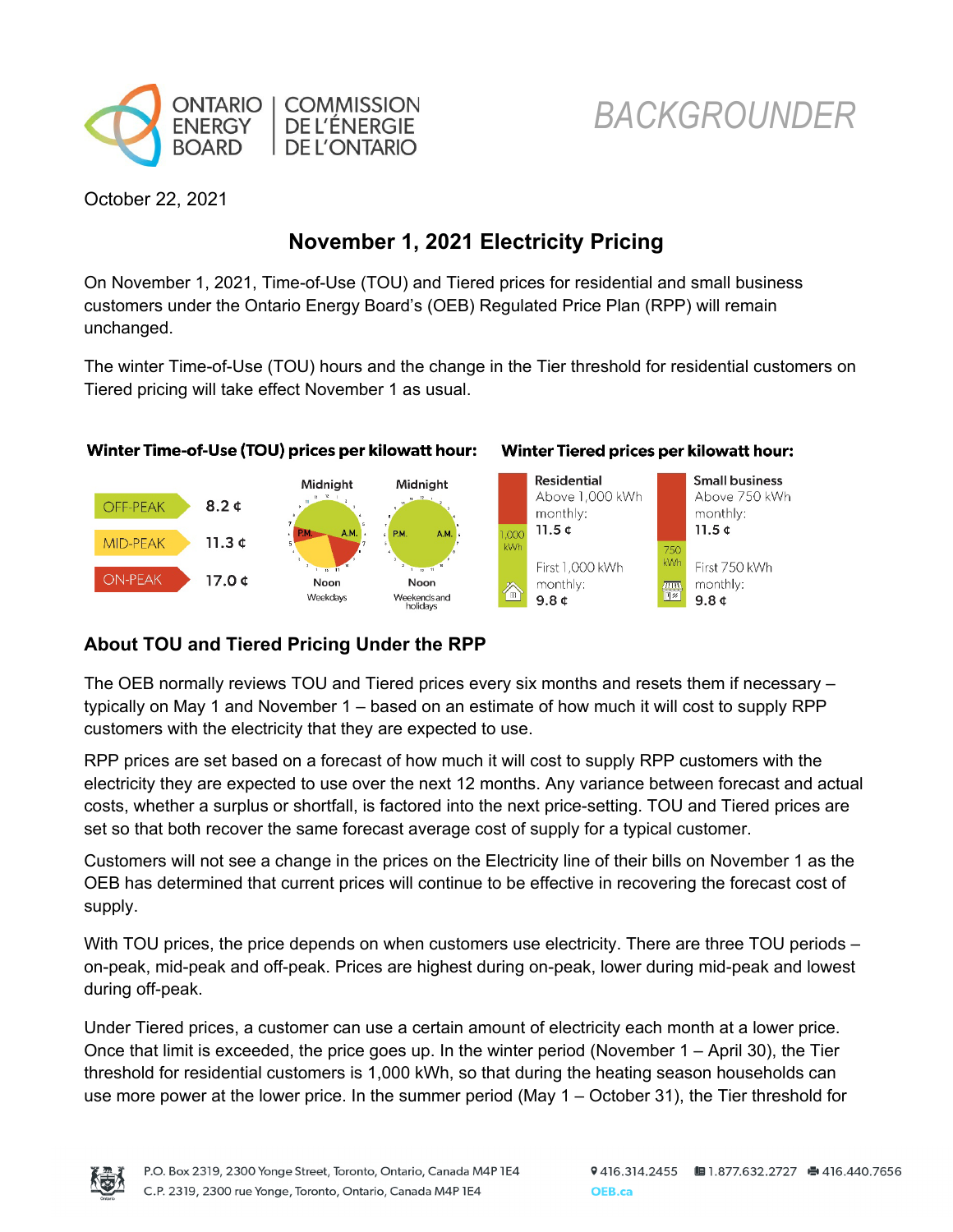

# *BACKGROUNDER*

October 22, 2021

## **November 1, 2021 Electricity Pricing**

On November 1, 2021, Time-of-Use (TOU) and Tiered prices for residential and small business customers under the Ontario Energy Board's (OEB) Regulated Price Plan (RPP) will remain unchanged.

The winter Time-of-Use (TOU) hours and the change in the Tier threshold for residential customers on Tiered pricing will take effect November 1 as usual.



#### Winter Tiered prices per kilowatt hour:



### **About TOU and Tiered Pricing Under the RPP**

The OEB normally reviews TOU and Tiered prices every six months and resets them if necessary – typically on May 1 and November 1 – based on an estimate of how much it will cost to supply RPP customers with the electricity that they are expected to use.

RPP prices are set based on a forecast of how much it will cost to supply RPP customers with the electricity they are expected to use over the next 12 months. Any variance between forecast and actual costs, whether a surplus or shortfall, is factored into the next price-setting. TOU and Tiered prices are set so that both recover the same forecast average cost of supply for a typical customer.

Customers will not see a change in the prices on the Electricity line of their bills on November 1 as the OEB has determined that current prices will continue to be effective in recovering the forecast cost of supply.

With TOU prices, the price depends on when customers use electricity. There are three TOU periods – on-peak, mid-peak and off-peak. Prices are highest during on-peak, lower during mid-peak and lowest during off-peak.

Under Tiered prices, a customer can use a certain amount of electricity each month at a lower price. Once that limit is exceeded, the price goes up. In the winter period (November 1 – April 30), the Tier threshold for residential customers is 1,000 kWh, so that during the heating season households can use more power at the lower price. In the summer period (May 1 – October 31), the Tier threshold for